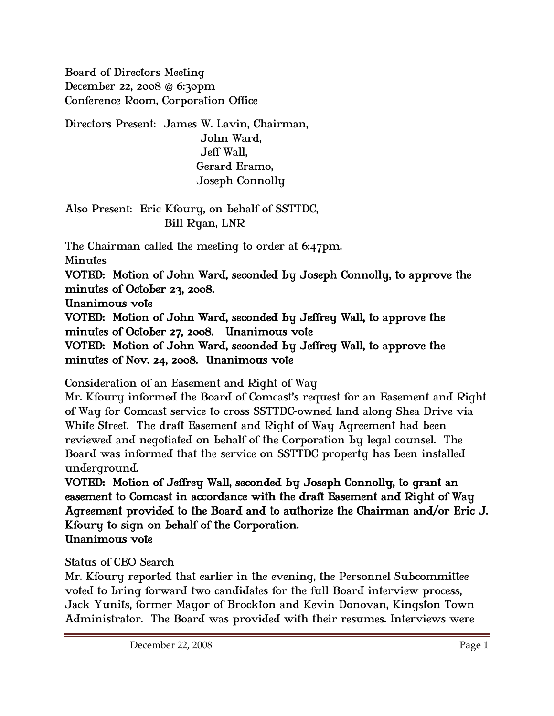Board of Directors Meeting December 22, 2008 @ 6:30pm Conference Room, Corporation Office

Directors Present: James W. Lavin, Chairman, John Ward, Jeff Wall, Gerard Eramo, Joseph Connolly

Also Present: Eric Kfoury, on behalf of SSTTDC, Bill Ryan, LNR

The Chairman called the meeting to order at 6:47pm. Minutes VOTED: Motion of John Ward, seconded by Joseph Connolly, to approve the minutes of October 23, 2008. Unanimous vote VOTED: Motion of John Ward, seconded by Jeffrey Wall, to approve the minutes of October 27, 2008. Unanimous vote VOTED: Motion of John Ward, seconded by Jeffrey Wall, to approve the

minutes of Nov. 24, 2008. Unanimous vote

Consideration of an Easement and Right of Way

Mr. Kfoury informed the Board of Comcast's request for an Easement and Right of Way for Comcast service to cross SSTTDC-owned land along Shea Drive via White Street. The draft Easement and Right of Way Agreement had been reviewed and negotiated on behalf of the Corporation by legal counsel. The Board was informed that the service on SSTTDC property has been installed underground.

VOTED: Motion of Jeffrey Wall, seconded by Joseph Connolly, to grant an easement to Comcast in accordance with the draft Easement and Right of Way Agreement provided to the Board and to authorize the Chairman and/or Eric J. Kfoury to sign on behalf of the Corporation. Unanimous vote

Status of CEO Search

Mr. Kfoury reported that earlier in the evening, the Personnel Subcommittee voted to bring forward two candidates for the full Board interview process, Jack Yunits, former Mayor of Brockton and Kevin Donovan, Kingston Town Administrator. The Board was provided with their resumes. Interviews were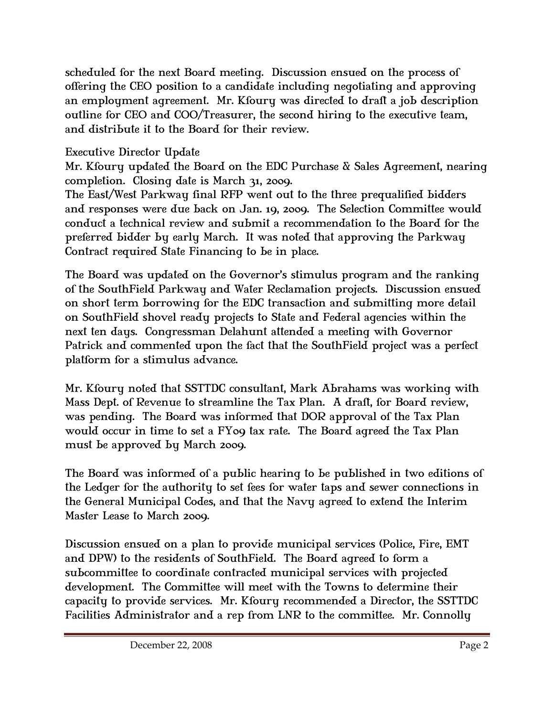scheduled for the next Board meeting. Discussion ensued on the process of offering the CEO position to a candidate including negotiating and approving an employment agreement. Mr. Kfoury was directed to draft a job description outline for CEO and COO/Treasurer, the second hiring to the executive team, and distribute it to the Board for their review.

## Executive Director Update

Mr. Kfoury updated the Board on the EDC Purchase & Sales Agreement, nearing completion. Closing date is March 31, 2009.

The East/West Parkway final RFP went out to the three prequalified bidders and responses were due back on Jan. 19, 2009. The Selection Committee would conduct a technical review and submit a recommendation to the Board for the preferred bidder by early March. It was noted that approving the Parkway Contract required State Financing to be in place.

The Board was updated on the Governor's stimulus program and the ranking of the SouthField Parkway and Water Reclamation projects. Discussion ensued on short term borrowing for the EDC transaction and submitting more detail on SouthField shovel ready projects to State and Federal agencies within the next ten days. Congressman Delahunt attended a meeting with Governor Patrick and commented upon the fact that the SouthField project was a perfect platform for a stimulus advance.

Mr. Kfoury noted that SSTTDC consultant, Mark Abrahams was working with Mass Dept. of Revenue to streamline the Tax Plan. A draft, for Board review, was pending. The Board was informed that DOR approval of the Tax Plan would occur in time to set a FY09 tax rate. The Board agreed the Tax Plan must be approved by March 2009.

The Board was informed of a public hearing to be published in two editions of the Ledger for the authority to set fees for water taps and sewer connections in the General Municipal Codes, and that the Navy agreed to extend the Interim Master Lease to March 2009.

Discussion ensued on a plan to provide municipal services (Police, Fire, EMT and DPW) to the residents of SouthField. The Board agreed to form a subcommittee to coordinate contracted municipal services with projected development. The Committee will meet with the Towns to determine their capacity to provide services. Mr. Kfoury recommended a Director, the SSTTDC Facilities Administrator and a rep from LNR to the committee. Mr. Connolly